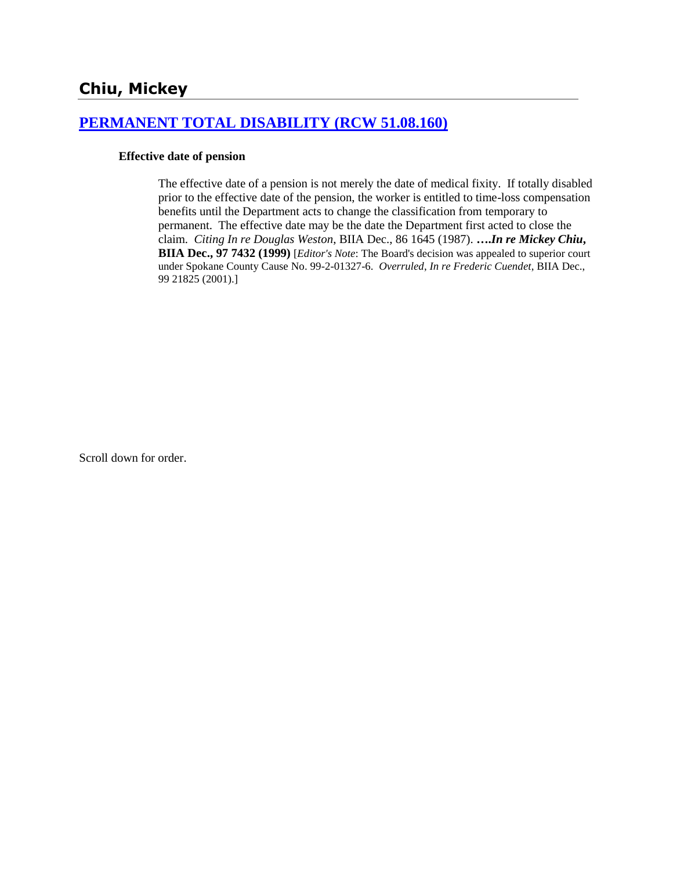# **[PERMANENT TOTAL DISABILITY \(RCW 51.08.160\)](http://www.biia.wa.gov/SDSubjectIndex.html#PERMANENT_TOTAL_DISABILITY)**

#### **Effective date of pension**

The effective date of a pension is not merely the date of medical fixity. If totally disabled prior to the effective date of the pension, the worker is entitled to time-loss compensation benefits until the Department acts to change the classification from temporary to permanent. The effective date may be the date the Department first acted to close the claim. *Citing In re Douglas Weston*, BIIA Dec., 86 1645 (1987). **….***In re Mickey Chiu***, BIIA Dec., 97 7432 (1999)** [*Editor's Note*: The Board's decision was appealed to superior court under Spokane County Cause No. 99-2-01327-6. *Overruled*, *In re Frederic Cuendet*, BIIA Dec., 99 21825 (2001).]

Scroll down for order.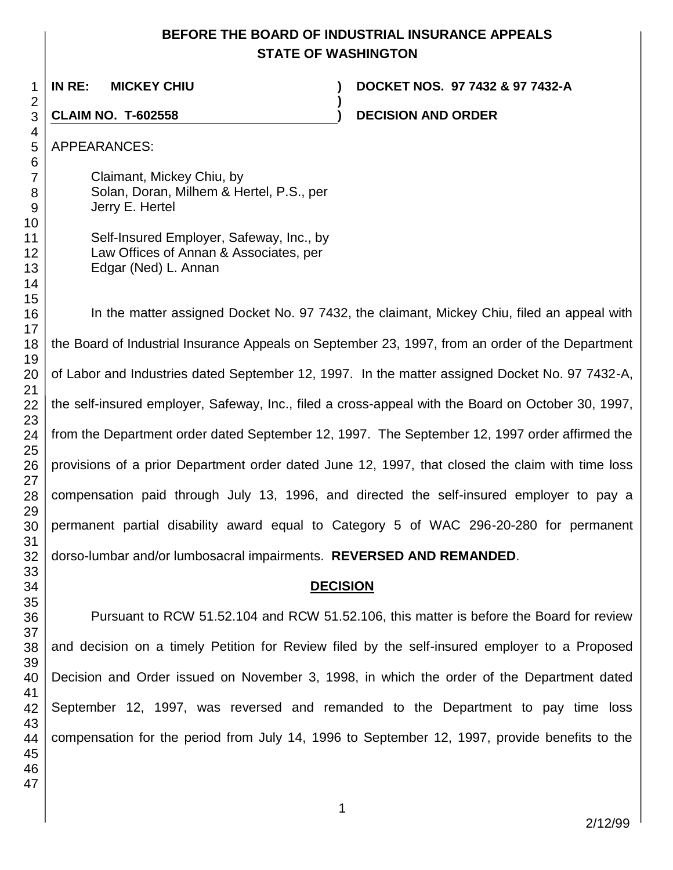### **BEFORE THE BOARD OF INDUSTRIAL INSURANCE APPEALS STATE OF WASHINGTON**

**)**

**IN RE: MICKEY CHIU ) DOCKET NOS. 97 7432 & 97 7432-A**

**CLAIM NO. T-602558 ) DECISION AND ORDER**

APPEARANCES:

Claimant, Mickey Chiu, by Solan, Doran, Milhem & Hertel, P.S., per Jerry E. Hertel

| Self-Insured Employer, Safeway, Inc., by |
|------------------------------------------|
| Law Offices of Annan & Associates, per   |
| Edgar (Ned) L. Annan                     |

In the matter assigned Docket No. 97 7432, the claimant, Mickey Chiu, filed an appeal with the Board of Industrial Insurance Appeals on September 23, 1997, from an order of the Department of Labor and Industries dated September 12, 1997. In the matter assigned Docket No. 97 7432-A, the self-insured employer, Safeway, Inc., filed a cross-appeal with the Board on October 30, 1997, from the Department order dated September 12, 1997. The September 12, 1997 order affirmed the provisions of a prior Department order dated June 12, 1997, that closed the claim with time loss compensation paid through July 13, 1996, and directed the self-insured employer to pay a permanent partial disability award equal to Category 5 of WAC 296-20-280 for permanent dorso-lumbar and/or lumbosacral impairments. **REVERSED AND REMANDED**.

# **DECISION**

Pursuant to RCW 51.52.104 and RCW 51.52.106, this matter is before the Board for review and decision on a timely Petition for Review filed by the self-insured employer to a Proposed Decision and Order issued on November 3, 1998, in which the order of the Department dated September 12, 1997, was reversed and remanded to the Department to pay time loss compensation for the period from July 14, 1996 to September 12, 1997, provide benefits to the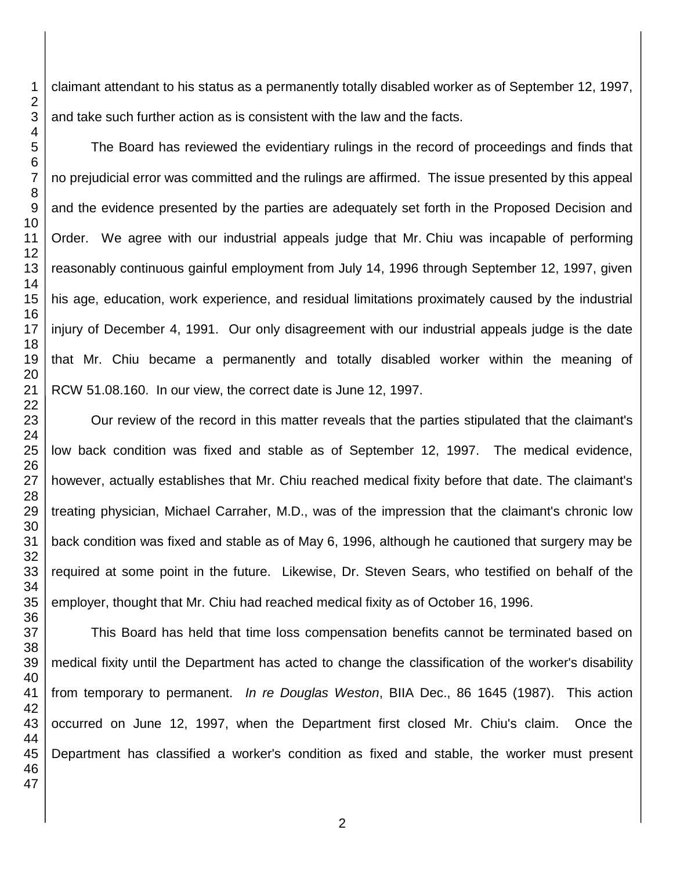claimant attendant to his status as a permanently totally disabled worker as of September 12, 1997, and take such further action as is consistent with the law and the facts.

The Board has reviewed the evidentiary rulings in the record of proceedings and finds that no prejudicial error was committed and the rulings are affirmed. The issue presented by this appeal and the evidence presented by the parties are adequately set forth in the Proposed Decision and Order. We agree with our industrial appeals judge that Mr. Chiu was incapable of performing reasonably continuous gainful employment from July 14, 1996 through September 12, 1997, given his age, education, work experience, and residual limitations proximately caused by the industrial injury of December 4, 1991. Our only disagreement with our industrial appeals judge is the date that Mr. Chiu became a permanently and totally disabled worker within the meaning of RCW 51.08.160. In our view, the correct date is June 12, 1997.

Our review of the record in this matter reveals that the parties stipulated that the claimant's low back condition was fixed and stable as of September 12, 1997. The medical evidence, however, actually establishes that Mr. Chiu reached medical fixity before that date. The claimant's treating physician, Michael Carraher, M.D., was of the impression that the claimant's chronic low back condition was fixed and stable as of May 6, 1996, although he cautioned that surgery may be required at some point in the future. Likewise, Dr. Steven Sears, who testified on behalf of the employer, thought that Mr. Chiu had reached medical fixity as of October 16, 1996.

This Board has held that time loss compensation benefits cannot be terminated based on medical fixity until the Department has acted to change the classification of the worker's disability from temporary to permanent. *In re Douglas Weston*, BIIA Dec., 86 1645 (1987). This action occurred on June 12, 1997, when the Department first closed Mr. Chiu's claim. Once the Department has classified a worker's condition as fixed and stable, the worker must present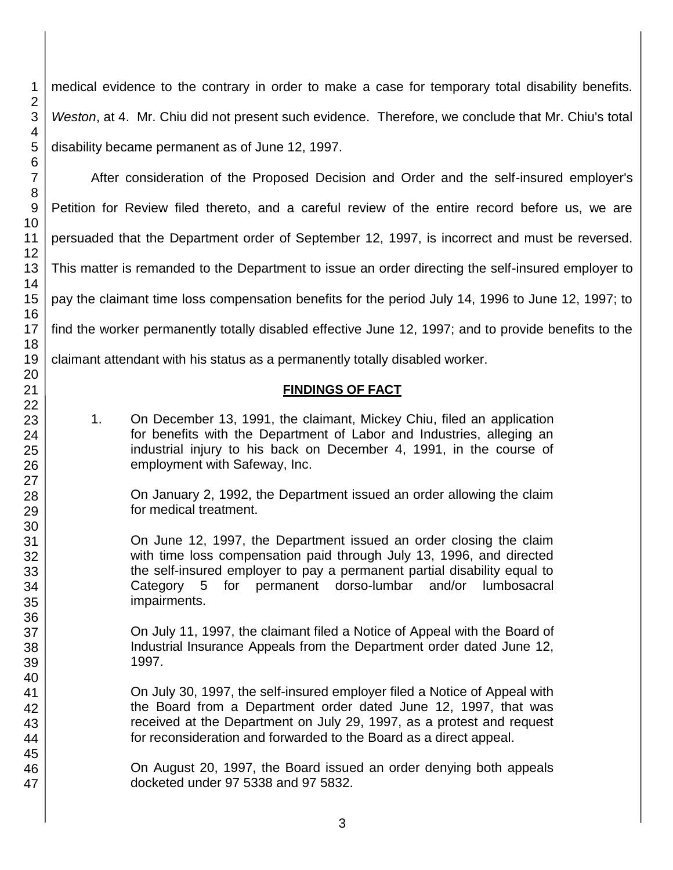medical evidence to the contrary in order to make a case for temporary total disability benefits. *Weston*, at 4. Mr. Chiu did not present such evidence. Therefore, we conclude that Mr. Chiu's total disability became permanent as of June 12, 1997.

After consideration of the Proposed Decision and Order and the self-insured employer's Petition for Review filed thereto, and a careful review of the entire record before us, we are persuaded that the Department order of September 12, 1997, is incorrect and must be reversed. This matter is remanded to the Department to issue an order directing the self-insured employer to pay the claimant time loss compensation benefits for the period July 14, 1996 to June 12, 1997; to find the worker permanently totally disabled effective June 12, 1997; and to provide benefits to the claimant attendant with his status as a permanently totally disabled worker.

# **FINDINGS OF FACT**

1. On December 13, 1991, the claimant, Mickey Chiu, filed an application for benefits with the Department of Labor and Industries, alleging an industrial injury to his back on December 4, 1991, in the course of employment with Safeway, Inc.

On January 2, 1992, the Department issued an order allowing the claim for medical treatment.

On June 12, 1997, the Department issued an order closing the claim with time loss compensation paid through July 13, 1996, and directed the self-insured employer to pay a permanent partial disability equal to Category 5 for permanent dorso-lumbar and/or lumbosacral impairments.

On July 11, 1997, the claimant filed a Notice of Appeal with the Board of Industrial Insurance Appeals from the Department order dated June 12, 1997.

On July 30, 1997, the self-insured employer filed a Notice of Appeal with the Board from a Department order dated June 12, 1997, that was received at the Department on July 29, 1997, as a protest and request for reconsideration and forwarded to the Board as a direct appeal.

On August 20, 1997, the Board issued an order denying both appeals docketed under 97 5338 and 97 5832.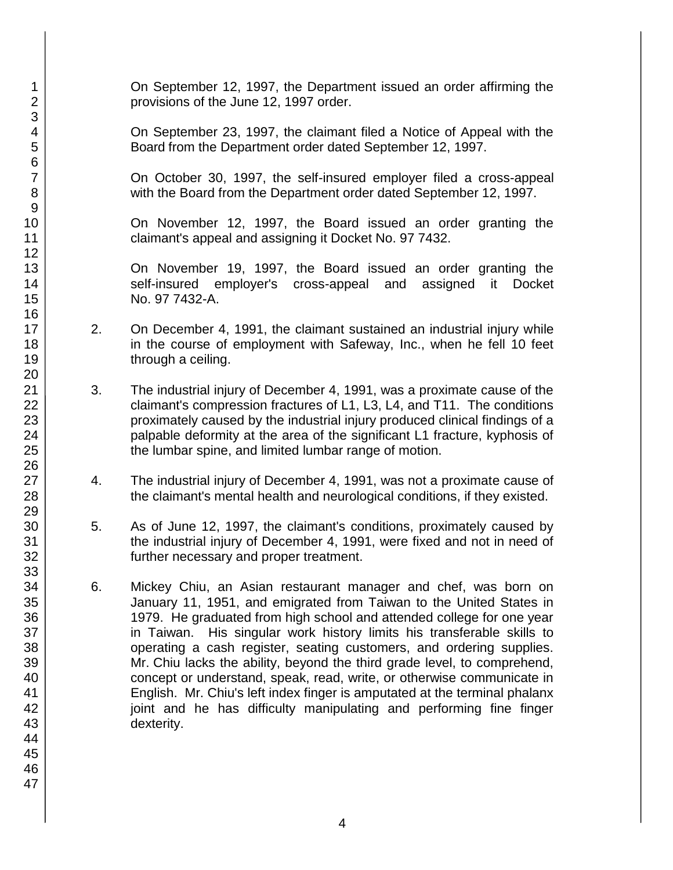On September 12, 1997, the Department issued an order affirming the provisions of the June 12, 1997 order.

On September 23, 1997, the claimant filed a Notice of Appeal with the Board from the Department order dated September 12, 1997.

On October 30, 1997, the self-insured employer filed a cross-appeal with the Board from the Department order dated September 12, 1997.

On November 12, 1997, the Board issued an order granting the claimant's appeal and assigning it Docket No. 97 7432.

On November 19, 1997, the Board issued an order granting the self-insured employer's cross-appeal and assigned it Docket No. 97 7432-A.

- 2. On December 4, 1991, the claimant sustained an industrial injury while in the course of employment with Safeway, Inc., when he fell 10 feet through a ceiling.
- 3. The industrial injury of December 4, 1991, was a proximate cause of the claimant's compression fractures of L1, L3, L4, and T11. The conditions proximately caused by the industrial injury produced clinical findings of a palpable deformity at the area of the significant L1 fracture, kyphosis of the lumbar spine, and limited lumbar range of motion.
- 4. The industrial injury of December 4, 1991, was not a proximate cause of the claimant's mental health and neurological conditions, if they existed.
- 5. As of June 12, 1997, the claimant's conditions, proximately caused by the industrial injury of December 4, 1991, were fixed and not in need of further necessary and proper treatment.
- 6. Mickey Chiu, an Asian restaurant manager and chef, was born on January 11, 1951, and emigrated from Taiwan to the United States in 1979. He graduated from high school and attended college for one year in Taiwan. His singular work history limits his transferable skills to operating a cash register, seating customers, and ordering supplies. Mr. Chiu lacks the ability, beyond the third grade level, to comprehend, concept or understand, speak, read, write, or otherwise communicate in English. Mr. Chiu's left index finger is amputated at the terminal phalanx joint and he has difficulty manipulating and performing fine finger dexterity.

1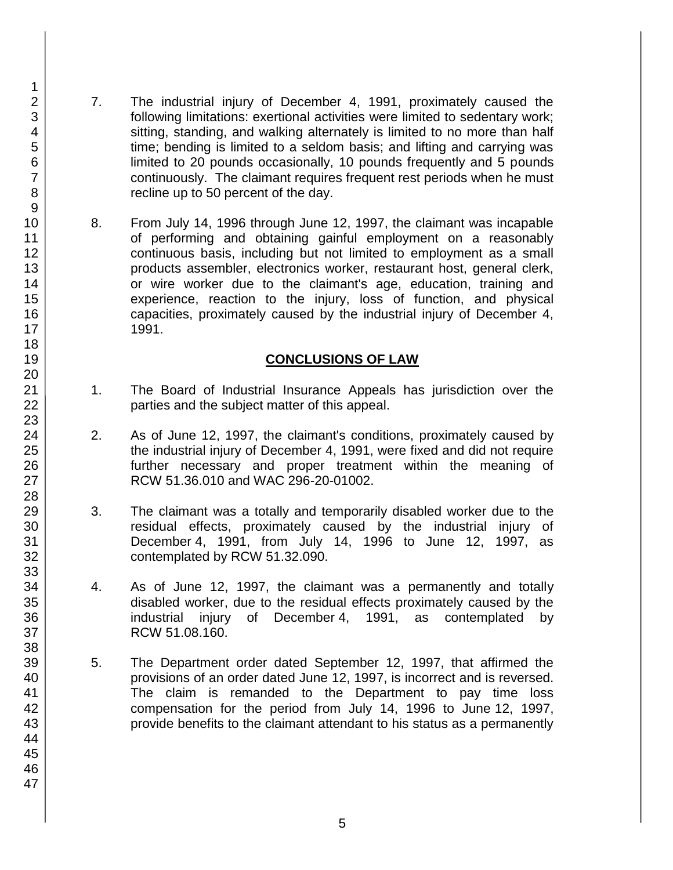- 7. The industrial injury of December 4, 1991, proximately caused the following limitations: exertional activities were limited to sedentary work; sitting, standing, and walking alternately is limited to no more than half time; bending is limited to a seldom basis; and lifting and carrying was limited to 20 pounds occasionally, 10 pounds frequently and 5 pounds continuously. The claimant requires frequent rest periods when he must recline up to 50 percent of the day.
- 8. From July 14, 1996 through June 12, 1997, the claimant was incapable of performing and obtaining gainful employment on a reasonably continuous basis, including but not limited to employment as a small products assembler, electronics worker, restaurant host, general clerk, or wire worker due to the claimant's age, education, training and experience, reaction to the injury, loss of function, and physical capacities, proximately caused by the industrial injury of December 4, 1991.

#### **CONCLUSIONS OF LAW**

- 1. The Board of Industrial Insurance Appeals has jurisdiction over the parties and the subject matter of this appeal.
- 2. As of June 12, 1997, the claimant's conditions, proximately caused by the industrial injury of December 4, 1991, were fixed and did not require further necessary and proper treatment within the meaning of RCW 51.36.010 and WAC 296-20-01002.
- 3. The claimant was a totally and temporarily disabled worker due to the residual effects, proximately caused by the industrial injury of December 4, 1991, from July 14, 1996 to June 12, 1997, as contemplated by RCW 51.32.090.
- 4. As of June 12, 1997, the claimant was a permanently and totally disabled worker, due to the residual effects proximately caused by the industrial injury of December 4, 1991, as contemplated by RCW 51.08.160.
- 5. The Department order dated September 12, 1997, that affirmed the provisions of an order dated June 12, 1997, is incorrect and is reversed. The claim is remanded to the Department to pay time loss compensation for the period from July 14, 1996 to June 12, 1997, provide benefits to the claimant attendant to his status as a permanently

1